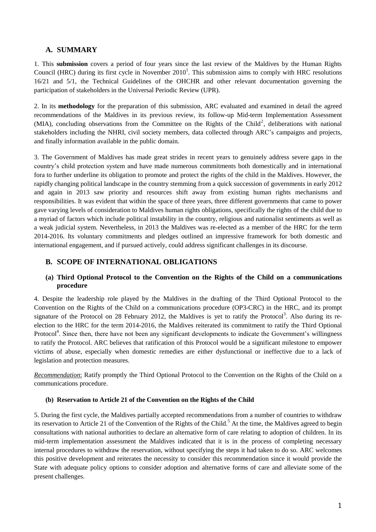# **A. SUMMARY**

1. This **submission** covers a period of four years since the last review of the Maldives by the Human Rights Council (HRC) during its first cycle in November  $2010<sup>1</sup>$ . This submission aims to comply with HRC resolutions 16/21 and 5/1, the Technical Guidelines of the OHCHR and other relevant documentation governing the participation of stakeholders in the Universal Periodic Review (UPR).

2. In its **methodology** for the preparation of this submission, ARC evaluated and examined in detail the agreed recommendations of the Maldives in its previous review, its follow-up Mid-term Implementation Assessment (MIA), concluding observations from the Committee on the Rights of the Child<sup>2</sup>, deliberations with national stakeholders including the NHRI, civil society members, data collected through ARC's campaigns and projects, and finally information available in the public domain.

3. The Government of Maldives has made great strides in recent years to genuinely address severe gaps in the country's child protection system and have made numerous commitments both domestically and in international fora to further underline its obligation to promote and protect the rights of the child in the Maldives. However, the rapidly changing political landscape in the country stemming from a quick succession of governments in early 2012 and again in 2013 saw priority and resources shift away from existing human rights mechanisms and responsibilities. It was evident that within the space of three years, three different governments that came to power gave varying levels of consideration to Maldives human rights obligations, specifically the rights of the child due to a myriad of factors which include political instability in the country, religious and nationalist sentiments as well as a weak judicial system. Nevertheless, in 2013 the Maldives was re-elected as a member of the HRC for the term 2014-2016. Its voluntary commitments and pledges outlined an impressive framework for both domestic and international engagement, and if pursued actively, could address significant challenges in its discourse.

# **B. SCOPE OF INTERNATIONAL OBLIGATIONS**

## **(a) Third Optional Protocol to the Convention on the Rights of the Child on a communications procedure**

4. Despite the leadership role played by the Maldives in the drafting of the Third Optional Protocol to the Convention on the Rights of the Child on a communications procedure (OP3-CRC) in the HRC, and its prompt signature of the Protocol on 28 February 2012, the Maldives is yet to ratify the Protocol<sup>3</sup>. Also during its reelection to the HRC for the term 2014-2016, the Maldives reiterated its commitment to ratify the Third Optional Protocol<sup>4</sup>. Since then, there have not been any significant developments to indicate the Government's willingness to ratify the Protocol. ARC believes that ratification of this Protocol would be a significant milestone to empower victims of abuse, especially when domestic remedies are either dysfunctional or ineffective due to a lack of legislation and protection measures.

*Recommendation*: Ratify promptly the Third Optional Protocol to the Convention on the Rights of the Child on a communications procedure.

#### **(b) Reservation to Article 21 of the Convention on the Rights of the Child**

5. During the first cycle, the Maldives partially accepted recommendations from a number of countries to withdraw its reservation to Article 21 of the Convention of the Rights of the Child.<sup>5</sup> At the time, the Maldives agreed to begin consultations with national authorities to declare an alternative form of care relating to adoption of children. In its mid-term implementation assessment the Maldives indicated that it is in the process of completing necessary internal procedures to withdraw the reservation, without specifying the steps it had taken to do so. ARC welcomes this positive development and reiterates the necessity to consider this recommendation since it would provide the State with adequate policy options to consider adoption and alternative forms of care and alleviate some of the present challenges.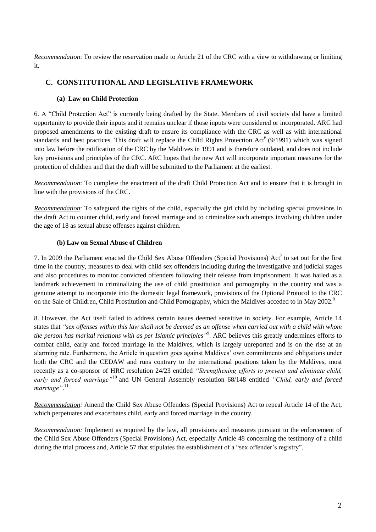*Recommendation*: To review the reservation made to Article 21 of the CRC with a view to withdrawing or limiting it.

# **C. CONSTITUTIONAL AND LEGISLATIVE FRAMEWORK**

## **(a) Law on Child Protection**

6. A "Child Protection Act" is currently being drafted by the State. Members of civil society did have a limited opportunity to provide their inputs and it remains unclear if those inputs were considered or incorporated. ARC had proposed amendments to the existing draft to ensure its compliance with the CRC as well as with international standards and best practices. This draft will replace the Child Rights Protection Act<sup>6</sup> (9/1991) which was signed into law before the ratification of the CRC by the Maldives in 1991 and is therefore outdated, and does not include key provisions and principles of the CRC. ARC hopes that the new Act will incorporate important measures for the protection of children and that the draft will be submitted to the Parliament at the earliest.

*Recommendation*: To complete the enactment of the draft Child Protection Act and to ensure that it is brought in line with the provisions of the CRC.

*Recommendation*: To safeguard the rights of the child, especially the girl child by including special provisions in the draft Act to counter child, early and forced marriage and to criminalize such attempts involving children under the age of 18 as sexual abuse offenses against children.

## **(b) Law on Sexual Abuse of Children**

7. In 2009 the Parliament enacted the Child Sex Abuse Offenders (Special Provisions)  $Act<sup>7</sup>$  to set out for the first time in the country, measures to deal with child sex offenders including during the investigative and judicial stages and also procedures to monitor convicted offenders following their release from imprisonment. It was hailed as a landmark achievement in criminalizing the use of child prostitution and pornography in the country and was a genuine attempt to incorporate into the domestic legal framework, provisions of the Optional Protocol to the CRC on the Sale of Children, Child Prostitution and Child Pornography, which the Maldives acceded to in May 2002.<sup>8</sup>

8. However, the Act itself failed to address certain issues deemed sensitive in society. For example, Article 14 states that *"sex offenses within this law shall not be deemed as an offense when carried out with a child with whom the person has marital relations with as per Islamic principles"* 9 . ARC believes this greatly undermines efforts to combat child, early and forced marriage in the Maldives, which is largely unreported and is on the rise at an alarming rate. Furthermore, the Article in question goes against Maldives' own commitments and obligations under both the CRC and the CEDAW and runs contrary to the international positions taken by the Maldives, most recently as a co-sponsor of HRC resolution 24/23 entitled *"Strengthening efforts to prevent and eliminate child, early and forced marriage"*<sup>10</sup> and UN General Assembly resolution 68/148 entitled *"Child, early and forced*  marriage".<sup>11</sup>

*Recommendation:* Amend the Child Sex Abuse Offenders (Special Provisions) Act to repeal Article 14 of the Act, which perpetuates and exacerbates child, early and forced marriage in the country.

*Recommendation:* Implement as required by the law, all provisions and measures pursuant to the enforcement of the Child Sex Abuse Offenders (Special Provisions) Act, especially Article 48 concerning the testimony of a child during the trial process and, Article 57 that stipulates the establishment of a "sex offender's registry".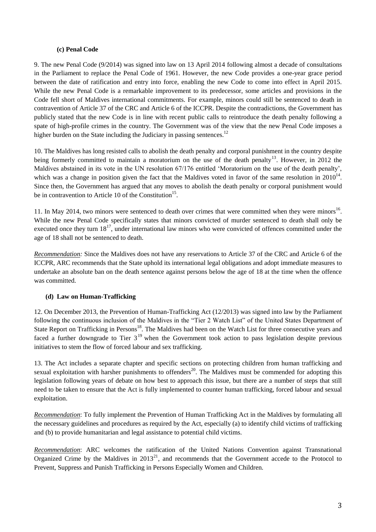#### **(c) Penal Code**

9. The new Penal Code (9/2014) was signed into law on 13 April 2014 following almost a decade of consultations in the Parliament to replace the Penal Code of 1961. However, the new Code provides a one-year grace period between the date of ratification and entry into force, enabling the new Code to come into effect in April 2015. While the new Penal Code is a remarkable improvement to its predecessor, some articles and provisions in the Code fell short of Maldives international commitments. For example, minors could still be sentenced to death in contravention of Article 37 of the CRC and Article 6 of the ICCPR. Despite the contradictions, the Government has publicly stated that the new Code is in line with recent public calls to reintroduce the death penalty following a spate of high-profile crimes in the country. The Government was of the view that the new Penal Code imposes a higher burden on the State including the Judiciary in passing sentences.<sup>12</sup>

10. The Maldives has long resisted calls to abolish the death penalty and corporal punishment in the country despite being formerly committed to maintain a moratorium on the use of the death penalty<sup>13</sup>. However, in 2012 the Maldives abstained in its vote in the UN resolution 67/176 entitled 'Moratorium on the use of the death penalty', which was a change in position given the fact that the Maldives voted in favor of the same resolution in  $2010^{14}$ . Since then, the Government has argued that any moves to abolish the death penalty or corporal punishment would be in contravention to Article 10 of the Constitution<sup>15</sup>.

11. In May 2014, two minors were sentenced to death over crimes that were committed when they were minors<sup>16</sup>. While the new Penal Code specifically states that minors convicted of murder sentenced to death shall only be executed once they turn  $18^{17}$ , under international law minors who were convicted of offences committed under the age of 18 shall not be sentenced to death.

*Recommendation:* Since the Maldives does not have any reservations to Article 37 of the CRC and Article 6 of the ICCPR, ARC recommends that the State uphold its international legal obligations and adopt immediate measures to undertake an absolute ban on the death sentence against persons below the age of 18 at the time when the offence was committed.

#### **(d) Law on Human-Trafficking**

12. On December 2013, the Prevention of Human-Trafficking Act (12/2013) was signed into law by the Parliament following the continuous inclusion of the Maldives in the "Tier 2 Watch List" of the United States Department of State Report on Trafficking in Persons<sup>18</sup>. The Maldives had been on the Watch List for three consecutive years and faced a further downgrade to Tier  $3^{19}$  when the Government took action to pass legislation despite previous initiatives to stem the flow of forced labour and sex trafficking.

13. The Act includes a separate chapter and specific sections on protecting children from human trafficking and sexual exploitation with harsher punishments to offenders<sup>20</sup>. The Maldives must be commended for adopting this legislation following years of debate on how best to approach this issue, but there are a number of steps that still need to be taken to ensure that the Act is fully implemented to counter human trafficking, forced labour and sexual exploitation.

*Recommendation*: To fully implement the Prevention of Human Trafficking Act in the Maldives by formulating all the necessary guidelines and procedures as required by the Act, especially (a) to identify child victims of trafficking and (b) to provide humanitarian and legal assistance to potential child victims.

*Recommendation*: ARC welcomes the ratification of the United Nations Convention against Transnational Organized Crime by the Maldives in  $2013^{21}$ , and recommends that the Government accede to the Protocol to Prevent, Suppress and Punish Trafficking in Persons Especially Women and Children.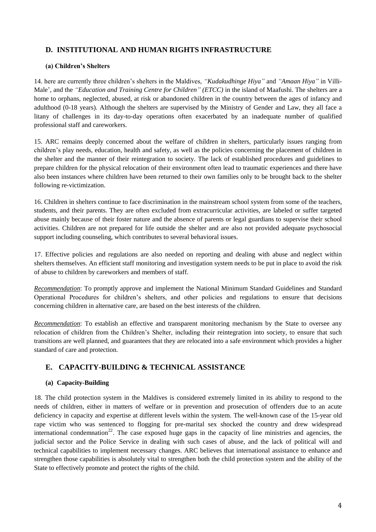# **D. INSTITUTIONAL AND HUMAN RIGHTS INFRASTRUCTURE**

## **(a) Children's Shelters**

14. here are currently three children's shelters in the Maldives, *"Kudakudhinge Hiya"* and *"Amaan Hiya"* in Villi-Male', and the *"Education and Training Centre for Children" (ETCC)* in the island of Maafushi. The shelters are a home to orphans, neglected, abused, at risk or abandoned children in the country between the ages of infancy and adulthood (0-18 years). Although the shelters are supervised by the Ministry of Gender and Law, they all face a litany of challenges in its day-to-day operations often exacerbated by an inadequate number of qualified professional staff and careworkers.

15. ARC remains deeply concerned about the welfare of children in shelters, particularly issues ranging from children's play needs, education, health and safety, as well as the policies concerning the placement of children in the shelter and the manner of their reintegration to society. The lack of established procedures and guidelines to prepare children for the physical relocation of their environment often lead to traumatic experiences and there have also been instances where children have been returned to their own families only to be brought back to the shelter following re-victimization.

16. Children in shelters continue to face discrimination in the mainstream school system from some of the teachers, students, and their parents. They are often excluded from extracurricular activities, are labeled or suffer targeted abuse mainly because of their foster nature and the absence of parents or legal guardians to supervise their school activities. Children are not prepared for life outside the shelter and are also not provided adequate psychosocial support including counseling, which contributes to several behavioral issues.

17. Effective policies and regulations are also needed on reporting and dealing with abuse and neglect within shelters themselves. An efficient staff monitoring and investigation system needs to be put in place to avoid the risk of abuse to children by careworkers and members of staff.

*Recommendation*: To promptly approve and implement the National Minimum Standard Guidelines and Standard Operational Procedures for children's shelters, and other policies and regulations to ensure that decisions concerning children in alternative care, are based on the best interests of the children.

*Recommendation*: To establish an effective and transparent monitoring mechanism by the State to oversee any relocation of children from the Children's Shelter, including their reintegration into society, to ensure that such transitions are well planned, and guarantees that they are relocated into a safe environment which provides a higher standard of care and protection.

# **E. CAPACITY-BUILDING & TECHNICAL ASSISTANCE**

## **(a) Capacity-Building**

18. The child protection system in the Maldives is considered extremely limited in its ability to respond to the needs of children, either in matters of welfare or in prevention and prosecution of offenders due to an acute deficiency in capacity and expertise at different levels within the system. The well-known case of the 15-year old rape victim who was sentenced to flogging for pre-marital sex shocked the country and drew widespread international condemnation<sup>22</sup>. The case exposed huge gaps in the capacity of line ministries and agencies, the judicial sector and the Police Service in dealing with such cases of abuse, and the lack of political will and technical capabilities to implement necessary changes. ARC believes that international assistance to enhance and strengthen those capabilities is absolutely vital to strengthen both the child protection system and the ability of the State to effectively promote and protect the rights of the child.